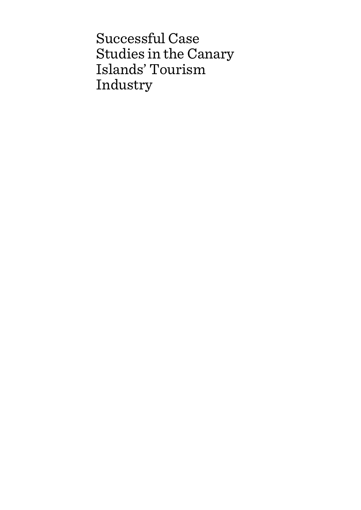Successful Case Studies in the Canary Islands' Tourism Industry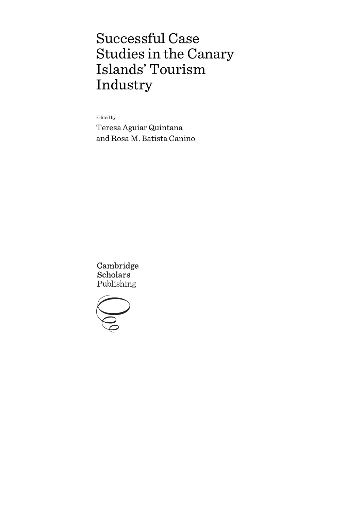# Successful Case Studies in the Canary Islands' Tourism Industry

Edited by

Teresa Aguiar Quintana and Rosa M. Batista Canino

Cambridge **Scholars** Publishing

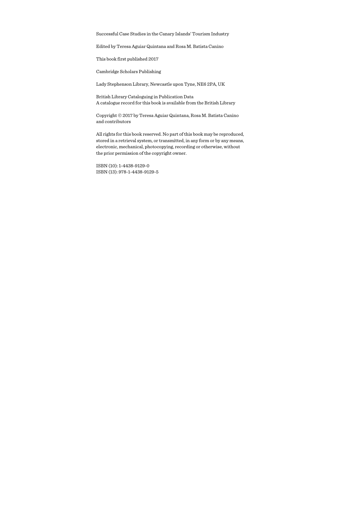Successful Case Studies in the Canary Islands' Tourism Industry

Edited by Teresa Aguiar Quintana and Rosa M. Batista Canino

This book first published 2017

Cambridge Scholars Publishing

Lady Stephenson Library, Newcastle upon Tyne, NE6 2PA, UK

British Library Cataloguing in Publication Data A catalogue record for this book is available from the British Library

Copyright © 2017 by Teresa Aguiar Quintana, Rosa M. Batista Canino and contributors

All rights for this book reserved. No part of this book may be reproduced, stored in a retrieval system, or transmitted, in any form or by any means, electronic, mechanical, photocopying, recording or otherwise, without the prior permission of the copyright owner.

ISBN (10): 1-4438-9129-0 ISBN (13): 978-1-4438-9129-5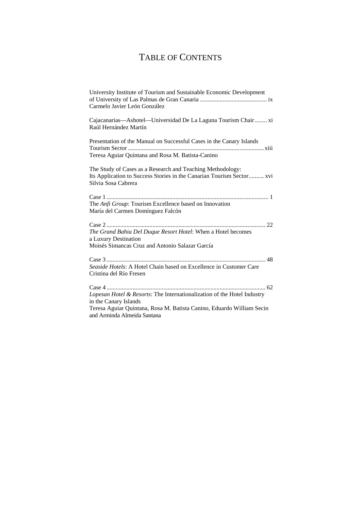# TABLE OF CONTENTS

| University Institute of Tourism and Sustainable Economic Development<br>Carmelo Javier León González                                    |
|-----------------------------------------------------------------------------------------------------------------------------------------|
| Cajacanarias—Ashotel—Universidad De La Laguna Tourism Chair  xi<br>Raúl Hernández Martín                                                |
| Presentation of the Manual on Successful Cases in the Canary Islands<br>Teresa Aguiar Quintana and Rosa M. Batista-Canino               |
| The Study of Cases as a Research and Teaching Methodology:                                                                              |
| Its Application to Success Stories in the Canarian Tourism Sector xvi<br>Silvia Sosa Cabrera                                            |
| The Anfi Group: Tourism Excellence based on Innovation<br>María del Carmen Domínguez Falcón                                             |
| The Grand Bahia Del Duque Resort Hotel: When a Hotel becomes<br>a Luxury Destination<br>Moisés Simancas Cruz and Antonio Salazar García |
| Seaside Hotels: A Hotel Chain based on Excellence in Customer Care<br>Cristina del Río Fresen                                           |
| Lopesan Hotel & Resorts: The Internationalization of the Hotel Industry<br>in the Canary Islands                                        |
| Teresa Aguiar Quintana, Rosa M. Batista Canino, Eduardo William Secin<br>and Arminda Almeida Santana                                    |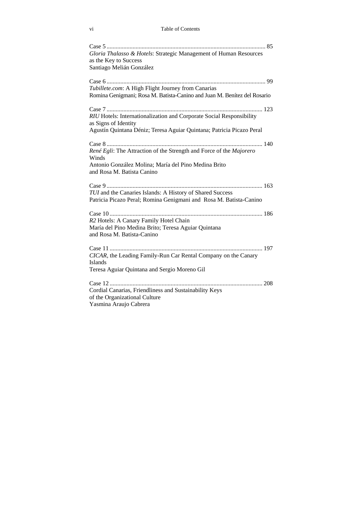| Gloria Thalasso & Hotels: Strategic Management of Human Resources<br>as the Key to Success<br>Santiago Melián González                                             |
|--------------------------------------------------------------------------------------------------------------------------------------------------------------------|
|                                                                                                                                                                    |
| Tubillete.com: A High Flight Journey from Canarias<br>Romina Genigmani; Rosa M. Batista-Canino and Juan M. Benítez del Rosario                                     |
|                                                                                                                                                                    |
| RIU Hotels: Internationalization and Corporate Social Responsibility<br>as Signs of Identity                                                                       |
| Agustín Quintana Déniz; Teresa Aguiar Quintana; Patricia Picazo Peral                                                                                              |
| René Egli: The Attraction of the Strength and Force of the Majorero<br>Winds<br>Antonio González Molina; María del Pino Medina Brito<br>and Rosa M. Batista Canino |
|                                                                                                                                                                    |
| TUI and the Canaries Islands: A History of Shared Success<br>Patricia Picazo Peral; Romina Genigmani and Rosa M. Batista-Canino                                    |
|                                                                                                                                                                    |
| R2 Hotels: A Canary Family Hotel Chain<br>María del Pino Medina Brito; Teresa Aguiar Quintana<br>and Rosa M. Batista-Canino                                        |
| CICAR, the Leading Family-Run Car Rental Company on the Canary<br><b>Islands</b>                                                                                   |
| Teresa Aguiar Quintana and Sergio Moreno Gil                                                                                                                       |
| Cordial Canarias, Friendliness and Sustainability Keys<br>of the Organizational Culture<br>Yasmina Araujo Cabrera                                                  |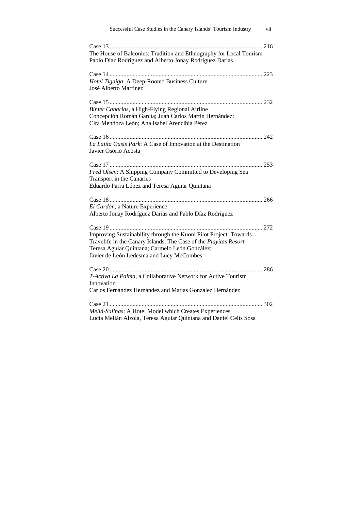| Successful Case Studies in the Canary Islands' Tourism Industry                                                                                                                                                                     | vii |
|-------------------------------------------------------------------------------------------------------------------------------------------------------------------------------------------------------------------------------------|-----|
| The House of Balconies: Tradition and Ethnography for Local Tourism<br>Pablo Díaz Rodríguez and Alberto Jonay Rodríguez Darias                                                                                                      |     |
| Hotel Tigaiga: A Deep-Rooted Business Culture<br>José Alberto Martínez                                                                                                                                                              |     |
| Binter Canarias, a High-Flying Regional Airline<br>Concepción Román García; Juan Carlos Martín Hernández;<br>Cira Mendoza León; Ana Isabel Arencibia Pérez                                                                          |     |
| La Lajita Oasis Park: A Case of Innovation at the Destination<br>Javier Osorio Acosta                                                                                                                                               |     |
| Fred Olsen: A Shipping Company Committed to Developing Sea<br>Transport in the Canaries<br>Eduardo Parra López and Teresa Aguiar Quintana                                                                                           |     |
| El Cardón, a Nature Experience<br>Alberto Jonay Rodríguez Darias and Pablo Díaz Rodríguez                                                                                                                                           |     |
| Improving Sustainability through the Kuoni Pilot Project: Towards<br>Travelife in the Canary Islands. The Case of the Playitas Resort<br>Teresa Aguiar Quintana; Carmelo León González;<br>Javier de León Ledesma and Lucy McCombes |     |
| T-Activa La Palma, a Collaborative Network for Active Tourism<br>Innovation<br>Carlos Fernández Hernández and Matías González Hernández                                                                                             |     |
|                                                                                                                                                                                                                                     |     |
| Meliá-Salinas: A Hotel Model which Creates Experiences<br>Lucía Melián Alzola, Teresa Aguiar Quintana and Daniel Celís Sosa                                                                                                         |     |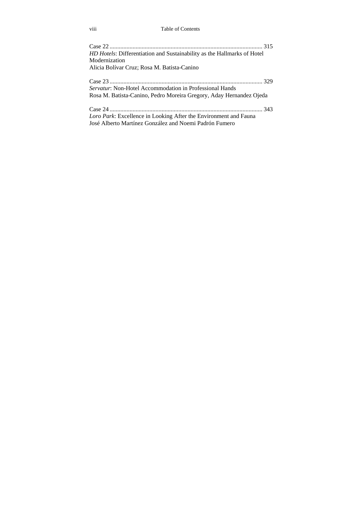#### viii Table of Contents

| <i>HD Hotels:</i> Differentiation and Sustainability as the Hallmarks of Hotel |
|--------------------------------------------------------------------------------|
| Modernization                                                                  |
| Alicia Bolívar Cruz; Rosa M. Batista-Canino                                    |
|                                                                                |
| Servatur: Non-Hotel Accommodation in Professional Hands                        |
| Rosa M. Batista-Canino, Pedro Moreira Gregory, Aday Hernandez Ojeda            |
|                                                                                |
| Loro Park: Excellence in Looking After the Environment and Fauna               |
| José Alberto Martínez González and Noemi Padrón Fumero                         |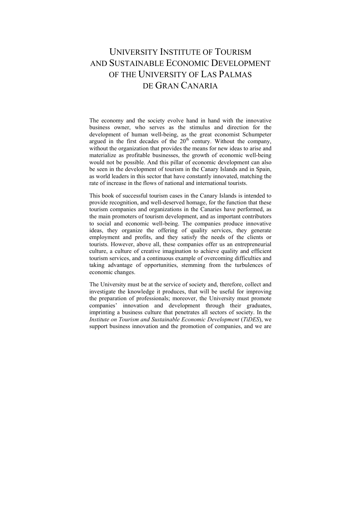# UNIVERSITY INSTITUTE OF TOURISM AND SUSTAINABLE ECONOMIC DEVELOPMENT OF THE UNIVERSITY OF LAS PALMAS DE GRAN CANARIA

The economy and the society evolve hand in hand with the innovative business owner, who serves as the stimulus and direction for the development of human well-being, as the great economist Schumpeter argued in the first decades of the  $20<sup>th</sup>$  century. Without the company, without the organization that provides the means for new ideas to arise and materialize as profitable businesses, the growth of economic well-being would not be possible. And this pillar of economic development can also be seen in the development of tourism in the Canary Islands and in Spain, as world leaders in this sector that have constantly innovated, matching the rate of increase in the flows of national and international tourists.

This book of successful tourism cases in the Canary Islands is intended to provide recognition, and well-deserved homage, for the function that these tourism companies and organizations in the Canaries have performed, as the main promoters of tourism development, and as important contributors to social and economic well-being. The companies produce innovative ideas, they organize the offering of quality services, they generate employment and profits, and they satisfy the needs of the clients or tourists. However, above all, these companies offer us an entrepreneurial culture, a culture of creative imagination to achieve quality and efficient tourism services, and a continuous example of overcoming difficulties and taking advantage of opportunities, stemming from the turbulences of economic changes.

The University must be at the service of society and, therefore, collect and investigate the knowledge it produces, that will be useful for improving the preparation of professionals; moreover, the University must promote companies' innovation and development through their graduates, imprinting a business culture that penetrates all sectors of society. In the *Institute on Tourism and Sustainable Economic Development* (*TiDES*), we support business innovation and the promotion of companies, and we are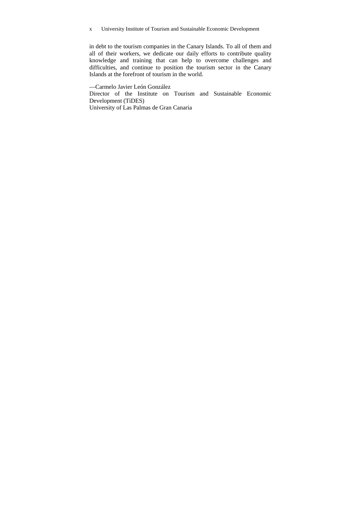x University Institute of Tourism and Sustainable Economic Development

in debt to the tourism companies in the Canary Islands. To all of them and all of their workers, we dedicate our daily efforts to contribute quality knowledge and training that can help to overcome challenges and difficulties, and continue to position the tourism sector in the Canary Islands at the forefront of tourism in the world.

—Carmelo Javier León González

Director of the Institute on Tourism and Sustainable Economic Development (TiDES)

University of Las Palmas de Gran Canaria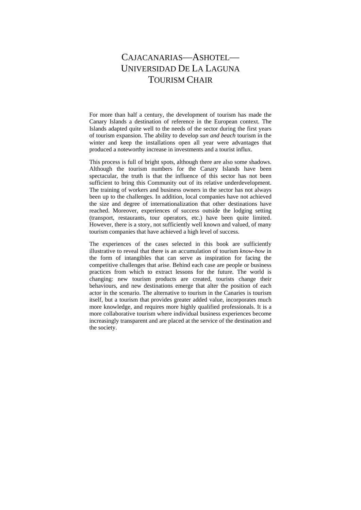# CAJACANARIAS—ASHOTEL— UNIVERSIDAD DE LA LAGUNA TOURISM CHAIR

For more than half a century, the development of tourism has made the Canary Islands a destination of reference in the European context. The Islands adapted quite well to the needs of the sector during the first years of tourism expansion. The ability to develop *sun and beach* tourism in the winter and keep the installations open all year were advantages that produced a noteworthy increase in investments and a tourist influx.

This process is full of bright spots, although there are also some shadows. Although the tourism numbers for the Canary Islands have been spectacular, the truth is that the influence of this sector has not been sufficient to bring this Community out of its relative underdevelopment. The training of workers and business owners in the sector has not always been up to the challenges. In addition, local companies have not achieved the size and degree of internationalization that other destinations have reached. Moreover, experiences of success outside the lodging setting (transport, restaurants, tour operators, etc.) have been quite limited. However, there is a story, not sufficiently well known and valued, of many tourism companies that have achieved a high level of success.

The experiences of the cases selected in this book are sufficiently illustrative to reveal that there is an accumulation of tourism *know-how* in the form of intangibles that can serve as inspiration for facing the competitive challenges that arise. Behind each case are people or business practices from which to extract lessons for the future. The world is changing: new tourism products are created, tourists change their behaviours, and new destinations emerge that alter the position of each actor in the scenario. The alternative to tourism in the Canaries is tourism itself, but a tourism that provides greater added value, incorporates much more knowledge, and requires more highly qualified professionals. It is a more collaborative tourism where individual business experiences become increasingly transparent and are placed at the service of the destination and the society.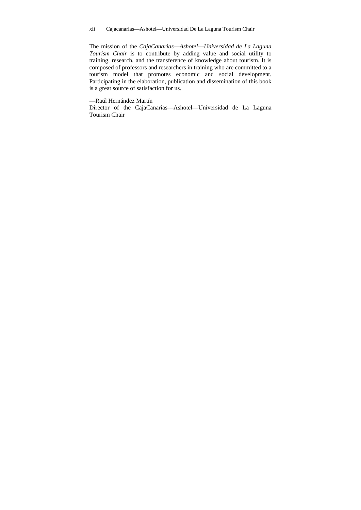The mission of the *CajaCanarias––Ashotel––Universidad de La Laguna Tourism Chair* is to contribute by adding value and social utility to training, research, and the transference of knowledge about tourism. It is composed of professors and researchers in training who are committed to a tourism model that promotes economic and social development. Participating in the elaboration, publication and dissemination of this book is a great source of satisfaction for us.

—Raúl Hernández Martín

Director of the CajaCanarias––Ashotel––Universidad de La Laguna Tourism Chair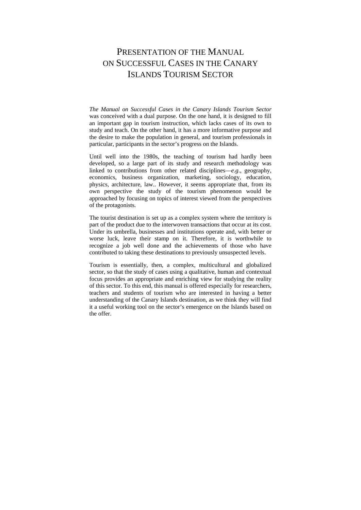# PRESENTATION OF THE MANUAL. ON SUCCESSFUL CASES IN THE CANARY ISLANDS TOURISM SECTOR

*The Manual on Successful Cases in the Canary Islands Tourism Sector*  was conceived with a dual purpose. On the one hand, it is designed to fill an important gap in tourism instruction, which lacks cases of its own to study and teach. On the other hand, it has a more informative purpose and the desire to make the population in general, and tourism professionals in particular, participants in the sector's progress on the Islands.

Until well into the 1980s, the teaching of tourism had hardly been developed, so a large part of its study and research methodology was linked to contributions from other related disciplines––*e.g*., geography, economics, business organization, marketing, sociology, education, physics, architecture, law.. However, it seems appropriate that, from its own perspective the study of the tourism phenomenon would be approached by focusing on topics of interest viewed from the perspectives of the protagonists.

The tourist destination is set up as a complex system where the territory is part of the product due to the interwoven transactions that occur at its cost. Under its umbrella, businesses and institutions operate and, with better or worse luck, leave their stamp on it. Therefore, it is worthwhile to recognize a job well done and the achievements of those who have contributed to taking these destinations to previously unsuspected levels.

Tourism is essentially, then, a complex, multicultural and globalized sector, so that the study of cases using a qualitative, human and contextual focus provides an appropriate and enriching view for studying the reality of this sector. To this end, this manual is offered especially for researchers, teachers and students of tourism who are interested in having a better understanding of the Canary Islands destination, as we think they will find it a useful working tool on the sector's emergence on the Islands based on the offer.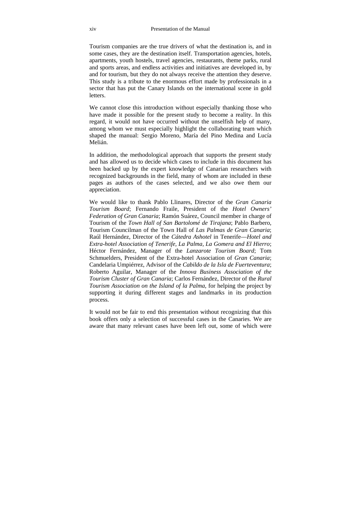Tourism companies are the true drivers of what the destination is, and in some cases, they are the destination itself. Transportation agencies, hotels, apartments, youth hostels, travel agencies, restaurants, theme parks, rural and sports areas, and endless activities and initiatives are developed in, by and for tourism, but they do not always receive the attention they deserve. This study is a tribute to the enormous effort made by professionals in a sector that has put the Canary Islands on the international scene in gold **letters** 

We cannot close this introduction without especially thanking those who have made it possible for the present study to become a reality. In this regard, it would not have occurred without the unselfish help of many, among whom we must especially highlight the collaborating team which shaped the manual: Sergio Moreno, María del Pino Medina and Lucía Melián.

In addition, the methodological approach that supports the present study and has allowed us to decide which cases to include in this document has been backed up by the expert knowledge of Canarian researchers with recognized backgrounds in the field, many of whom are included in these pages as authors of the cases selected, and we also owe them our appreciation.

We would like to thank Pablo Llinares, Director of the *Gran Canaria Tourism Board*; Fernando Fraile, President of the *Hotel Owners' Federation of Gran Canaria*; Ramón Suárez, Council member in charge of Tourism of the *Town Hall of San Bartolomé de Tirajana*; Pablo Barbero, Tourism Councilman of the Town Hall of *Las Palmas de Gran Canaria*; Raúl Hernández, Director of the *Cátedra Ashotel* in Tenerife––*Hotel and Extra-hotel Association of Tenerife, La Palma, La Gomera and El Hierro*; Héctor Fernández, Manager of the *Lanzarote Tourism Board*; Tom Schmuelders, President of the Extra-hotel Association of *Gran Canaria*; Candelaria Umpiérrez, Advisor of the *Cabildo de la Isla de Fuerteventura*; Roberto Aguilar, Manager of the *Innova Business Association of the Tourism Cluster of Gran Canaria*; Carlos Fernández, Director of the *Rural Tourism Association on the Island of la Palma*, for helping the project by supporting it during different stages and landmarks in its production process.

It would not be fair to end this presentation without recognizing that this book offers only a selection of successful cases in the Canaries. We are aware that many relevant cases have been left out, some of which were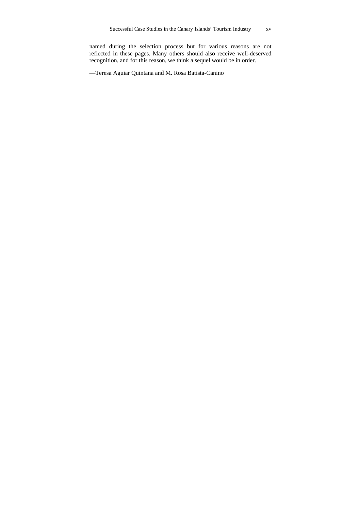named during the selection process but for various reasons are not reflected in these pages. Many others should also receive well-deserved recognition, and for this reason, we think a sequel would be in order.

—Teresa Aguiar Quintana and M. Rosa Batista-Canino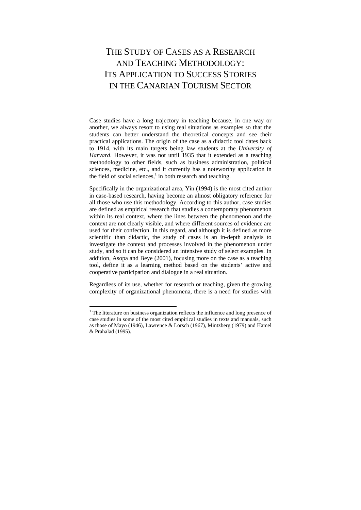# THE STUDY OF CASES AS A RESEARCH AND TEACHING METHODOLOGY: ITS APPLICATION TO SUCCESS STORIES IN THE CANARIAN TOURISM SECTOR

Case studies have a long trajectory in teaching because, in one way or another, we always resort to using real situations as examples so that the students can better understand the theoretical concepts and see their practical applications. The origin of the case as a didactic tool dates back to 1914, with its main targets being law students at the *University of Harvard*. However, it was not until 1935 that it extended as a teaching methodology to other fields, such as business administration, political sciences, medicine, etc., and it currently has a noteworthy application in the field of social sciences, $<sup>1</sup>$  in both research and teaching.</sup>

Specifically in the organizational area, Yin (1994) is the most cited author in case-based research, having become an almost obligatory reference for all those who use this methodology. According to this author, case studies are defined as empirical research that studies a contemporary phenomenon within its real context, where the lines between the phenomenon and the context are not clearly visible, and where different sources of evidence are used for their confection. In this regard, and although it is defined as more scientific than didactic, the study of cases is an in-depth analysis to investigate the context and processes involved in the phenomenon under study, and so it can be considered an intensive study of select examples. In addition, Asopa and Beye (2001), focusing more on the case as a teaching tool, define it as a learning method based on the students' active and cooperative participation and dialogue in a real situation.

Regardless of its use, whether for research or teaching, given the growing complexity of organizational phenomena, there is a need for studies with

 $\overline{a}$ 

 $<sup>1</sup>$  The literature on business organization reflects the influence and long presence of</sup> case studies in some of the most cited empirical studies in texts and manuals, such as those of Mayo (1946), Lawrence & Lorsch (1967), Mintzberg (1979) and Hamel & Prahalad (1995).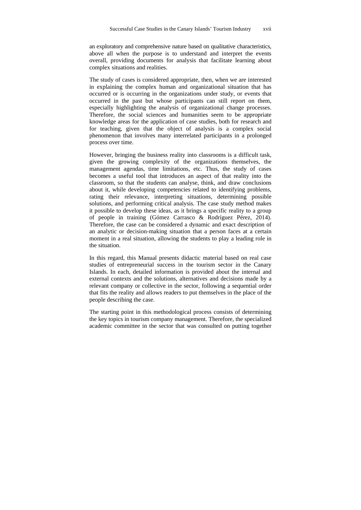an exploratory and comprehensive nature based on qualitative characteristics, above all when the purpose is to understand and interpret the events overall, providing documents for analysis that facilitate learning about complex situations and realities.

The study of cases is considered appropriate, then, when we are interested in explaining the complex human and organizational situation that has occurred or is occurring in the organizations under study, or events that occurred in the past but whose participants can still report on them, especially highlighting the analysis of organizational change processes. Therefore, the social sciences and humanities seem to be appropriate knowledge areas for the application of case studies, both for research and for teaching, given that the object of analysis is a complex social phenomenon that involves many interrelated participants in a prolonged process over time.

However, bringing the business reality into classrooms is a difficult task, given the growing complexity of the organizations themselves, the management agendas, time limitations, etc. Thus, the study of cases becomes a useful tool that introduces an aspect of that reality into the classroom, so that the students can analyse, think, and draw conclusions about it, while developing competencies related to identifying problems, rating their relevance, interpreting situations, determining possible solutions, and performing critical analysis. The case study method makes it possible to develop these ideas, as it brings a specific reality to a group of people in training (Gómez Carrasco & Rodríguez Pérez, 2014). Therefore, the case can be considered a dynamic and exact description of an analytic or decision-making situation that a person faces at a certain moment in a real situation, allowing the students to play a leading role in the situation.

In this regard, this Manual presents didactic material based on real case studies of entrepreneurial success in the tourism sector in the Canary Islands. In each, detailed information is provided about the internal and external contexts and the solutions, alternatives and decisions made by a relevant company or collective in the sector, following a sequential order that fits the reality and allows readers to put themselves in the place of the people describing the case.

The starting point in this methodological process consists of determining the key topics in tourism company management. Therefore, the specialized academic committee in the sector that was consulted on putting together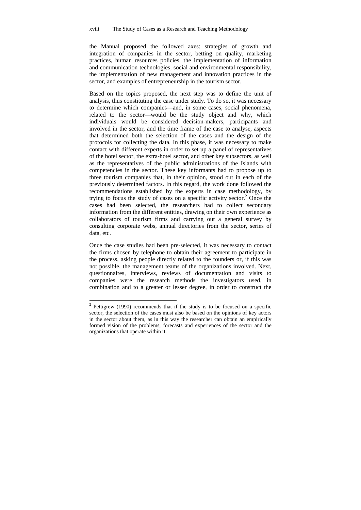the Manual proposed the followed axes: strategies of growth and integration of companies in the sector, betting on quality, marketing practices, human resources policies, the implementation of information and communication technologies, social and environmental responsibility, the implementation of new management and innovation practices in the sector, and examples of entrepreneurship in the tourism sector.

Based on the topics proposed, the next step was to define the unit of analysis, thus constituting the case under study. To do so, it was necessary to determine which companies––and, in some cases, social phenomena, related to the sector––would be the study object and why, which individuals would be considered decision-makers, participants and involved in the sector, and the time frame of the case to analyse, aspects that determined both the selection of the cases and the design of the protocols for collecting the data. In this phase, it was necessary to make contact with different experts in order to set up a panel of representatives of the hotel sector, the extra-hotel sector, and other key subsectors, as well as the representatives of the public administrations of the Islands with competencies in the sector. These key informants had to propose up to three tourism companies that, in their opinion, stood out in each of the previously determined factors. In this regard, the work done followed the recommendations established by the experts in case methodology, by trying to focus the study of cases on a specific activity sector.<sup>2</sup> Once the cases had been selected, the researchers had to collect secondary information from the different entities, drawing on their own experience as collaborators of tourism firms and carrying out a general survey by consulting corporate webs, annual directories from the sector, series of data, etc.

Once the case studies had been pre-selected, it was necessary to contact the firms chosen by telephone to obtain their agreement to participate in the process, asking people directly related to the founders or, if this was not possible, the management teams of the organizations involved. Next, questionnaires, interviews, reviews of documentation and visits to companies were the research methods the investigators used, in combination and to a greater or lesser degree, in order to construct the

 $\overline{a}$  $2$  Pettigrew (1990) recommends that if the study is to be focused on a specific sector, the selection of the cases must also be based on the opinions of key actors in the sector about them, as in this way the researcher can obtain an empirically formed vision of the problems, forecasts and experiences of the sector and the organizations that operate within it.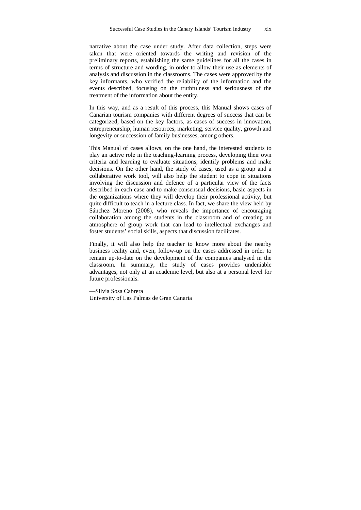narrative about the case under study. After data collection, steps were taken that were oriented towards the writing and revision of the preliminary reports, establishing the same guidelines for all the cases in terms of structure and wording, in order to allow their use as elements of analysis and discussion in the classrooms. The cases were approved by the key informants, who verified the reliability of the information and the events described, focusing on the truthfulness and seriousness of the treatment of the information about the entity.

In this way, and as a result of this process, this Manual shows cases of Canarian tourism companies with different degrees of success that can be categorized, based on the key factors, as cases of success in innovation, entrepreneurship, human resources, marketing, service quality, growth and longevity or succession of family businesses, among others.

This Manual of cases allows, on the one hand, the interested students to play an active role in the teaching-learning process, developing their own criteria and learning to evaluate situations, identify problems and make decisions. On the other hand, the study of cases, used as a group and a collaborative work tool, will also help the student to cope in situations involving the discussion and defence of a particular view of the facts described in each case and to make consensual decisions, basic aspects in the organizations where they will develop their professional activity, but quite difficult to teach in a lecture class. In fact, we share the view held by Sánchez Moreno (2008), who reveals the importance of encouraging collaboration among the students in the classroom and of creating an atmosphere of group work that can lead to intellectual exchanges and foster students' social skills, aspects that discussion facilitates.

Finally, it will also help the teacher to know more about the nearby business reality and, even, follow-up on the cases addressed in order to remain up-to-date on the development of the companies analysed in the classroom. In summary, the study of cases provides undeniable advantages, not only at an academic level, but also at a personal level for future professionals.

—Silvia Sosa Cabrera University of Las Palmas de Gran Canaria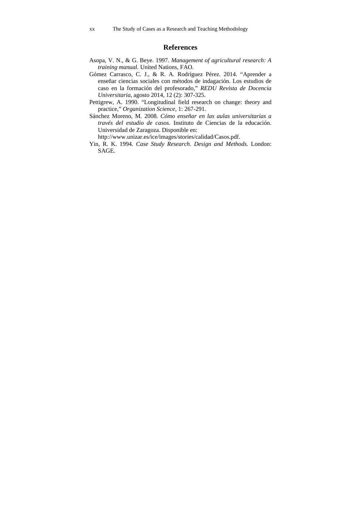#### **References**

- Asopa, V. N., & G. Beye. 1997. *Management of agricultural research: A training manual.* United Nations, FAO.
- Gómez Carrasco, C. J., & R. A. Rodríguez Pérez. 2014. "Aprender a enseñar ciencias sociales con métodos de indagación. Los estudios de caso en la formación del profesorado," *REDU Revista de Docencia Universitaria*, agosto 2014, 12 (2): 307-325.
- Pettigrew, A. 1990. "Longitudinal field research on change: theory and practice," *Organization Science,* 1: 267-291.
- Sánchez Moreno, M. 2008. *Cómo enseñar en las aulas universitarias a través del estudio de casos.* Instituto de Ciencias de la educación. Universidad de Zaragoza. Disponible en:

http://www.unizar.es/ice/images/stories/calidad/Casos.pdf.

Yin, R. K. 1994*. Case Study Research. Design and Methods*. London: SAGE.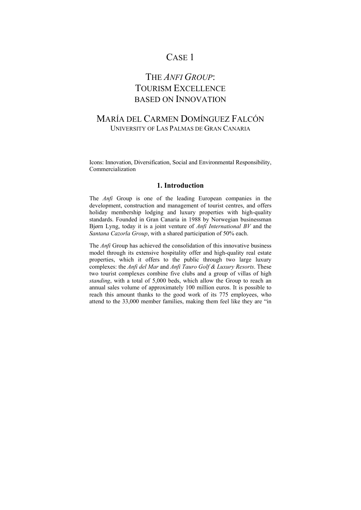### CASE 1

# THE *ANFI GROUP*: TOURISM EXCELLENCE BASED ON INNOVATION

#### MARÍA DEL CARMEN DOMÍNGUEZ FALCÓN UNIVERSITY OF LAS PALMAS DE GRAN CANARIA

Icons: Innovation, Diversification, Social and Environmental Responsibility, Commercialization

#### **1. Introduction**

The *Anfi* Group is one of the leading European companies in the development, construction and management of tourist centres, and offers holiday membership lodging and luxury properties with high-quality standards. Founded in Gran Canaria in 1988 by Norwegian businessman Bjørn Lyng, today it is a joint venture of *Anfi International BV* and the *Santana Cazorla Group*, with a shared participation of 50% each.

The *Anfi* Group has achieved the consolidation of this innovative business model through its extensive hospitality offer and high-quality real estate properties, which it offers to the public through two large luxury complexes: the *Anfi del Mar* and *Anfi Tauro Golf & Luxury Resorts*. These two tourist complexes combine five clubs and a group of villas of high *standing*, with a total of 5,000 beds, which allow the Group to reach an annual sales volume of approximately 100 million euros. It is possible to reach this amount thanks to the good work of its 775 employees, who attend to the 33,000 member families, making them feel like they are "in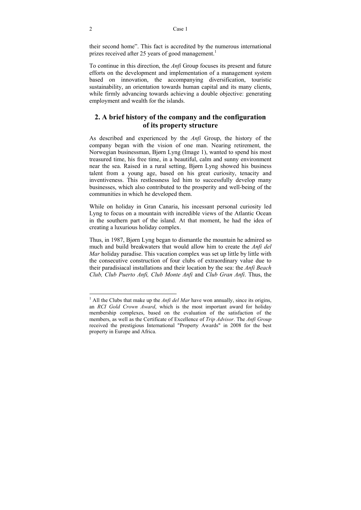their second home". This fact is accredited by the numerous international prizes received after 25 years of good management.<sup>1</sup>

To continue in this direction, the *Anfi* Group focuses its present and future efforts on the development and implementation of a management system based on innovation, the accompanying diversification, touristic sustainability, an orientation towards human capital and its many clients, while firmly advancing towards achieving a double objective: generating employment and wealth for the islands.

#### **2. A brief history of the company and the configuration of its property structure**

As described and experienced by the *Anfi* Group, the history of the company began with the vision of one man. Nearing retirement, the Norwegian businessman, Bjørn Lyng (Image 1), wanted to spend his most treasured time, his free time, in a beautiful, calm and sunny environment near the sea. Raised in a rural setting, Bjørn Lyng showed his business talent from a young age, based on his great curiosity, tenacity and inventiveness. This restlessness led him to successfully develop many businesses, which also contributed to the prosperity and well-being of the communities in which he developed them.

While on holiday in Gran Canaria, his incessant personal curiosity led Lyng to focus on a mountain with incredible views of the Atlantic Ocean in the southern part of the island. At that moment, he had the idea of creating a luxurious holiday complex.

Thus, in 1987, Bjørn Lyng began to dismantle the mountain he admired so much and build breakwaters that would allow him to create the *Anfi del Mar* holiday paradise. This vacation complex was set up little by little with the consecutive construction of four clubs of extraordinary value due to their paradisiacal installations and their location by the sea: the *Anfi Beach Club, Club Puerto Anfi, Club Monte Anfi* and *Club Gran Anfi*. Thus, the

<sup>&</sup>lt;sup>1</sup> All the Clubs that make up the *Anfi del Mar* have won annually, since its origins, an *RCI Gold Crown Award*, which is the most important award for holiday membership complexes, based on the evaluation of the satisfaction of the members, as well as the Certificate of Excellence of *Trip Advisor*. The *Anfi Group* received the prestigious International "Property Awards" in 2008 for the best property in Europe and Africa.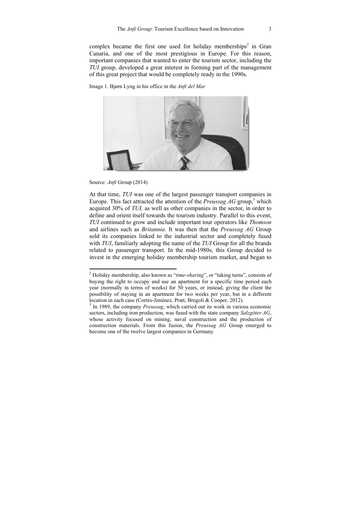complex became the first one used for holiday memberships<sup>2</sup> in Gran Canaria, and one of the most prestigious in Europe. For this reason, important companies that wanted to enter the tourism sector, including the *TUI* group, developed a great interest in forming part of the management of this great project that would be completely ready in the 1990s.

Image 1. Bjørn Lyng in his office in the *Anfi del Mar* 



Source: *Anfi* Group (2014)

At that time, *TUI* was one of the largest passenger transport companies in Europe. This fact attracted the attention of the *Preussag AG* group,<sup>3</sup> which acquired 30% of *TUI,* as well as other companies in the sector, in order to define and orient itself towards the tourism industry. Parallel to this event, *TUI* continued to grow and include important tour operators like *Thomson* and airlines such as *Britannia*. It was then that the *Preussag AG* Group sold its companies linked to the industrial sector and completely fused with *TUI*, familiarly adopting the name of the *TUI* Group for all the brands related to passenger transport. In the mid-1980s, this Group decided to invest in the emerging holiday membership tourism market, and began to

 2 Holiday membership, also known as "*time-sharing*", or "taking turns", consists of buying the right to occupy and use an apartment for a specific time period each year (normally in terms of weeks) for 50 years, or instead, giving the client the possibility of staying in an apartment for two weeks per year, but in a different location in each case (Cortés-Jiménez, Pratt, Bregoli & Cooper, 2012).

<sup>&</sup>lt;sup>3</sup> In 1989, the company *Preussag*, which carried out its work in various economic sectors, including iron production, was fused with the state company *Salzgitter AG*, whose activity focused on mining, naval construction and the production of construction materials. From this fusion, the *Preussag AG* Group emerged to become one of the twelve largest companies in Germany.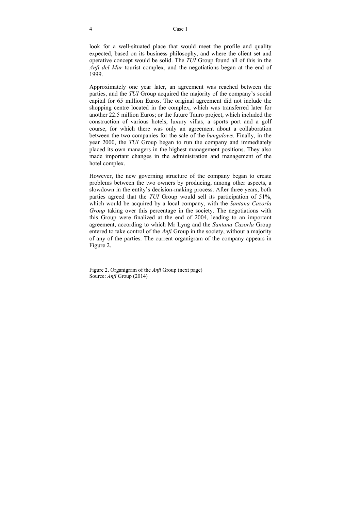look for a well-situated place that would meet the profile and quality expected, based on its business philosophy, and where the client set and operative concept would be solid. The *TUI* Group found all of this in the *Anfi del Mar* tourist complex, and the negotiations began at the end of 1999.

Approximately one year later, an agreement was reached between the parties, and the *TUI* Group acquired the majority of the company's social capital for 65 million Euros. The original agreement did not include the shopping centre located in the complex, which was transferred later for another 22.5 million Euros; or the future Tauro project, which included the construction of various hotels, luxury villas, a sports port and a golf course, for which there was only an agreement about a collaboration between the two companies for the sale of the *bungalows*. Finally, in the year 2000, the *TUI* Group began to run the company and immediately placed its own managers in the highest management positions. They also made important changes in the administration and management of the hotel complex.

However, the new governing structure of the company began to create problems between the two owners by producing, among other aspects, a slowdown in the entity's decision-making process. After three years, both parties agreed that the *TUI* Group would sell its participation of 51%, which would be acquired by a local company, with the *Santana Cazorla Group* taking over this percentage in the society. The negotiations with this Group were finalized at the end of 2004, leading to an important agreement, according to which Mr Lyng and the *Santana Cazorla* Group entered to take control of the *Anfi* Group in the society, without a majority of any of the parties. The current organigram of the company appears in Figure 2.

Figure 2. Organigram of the *Anfi* Group (next page) Source: *Anfi* Group (2014)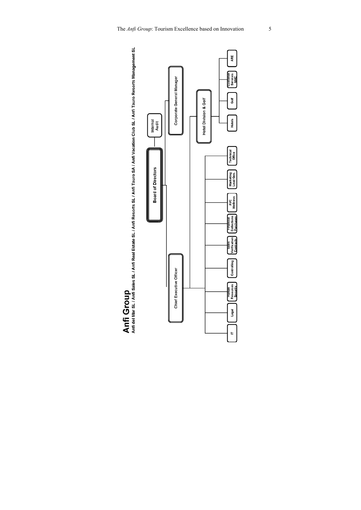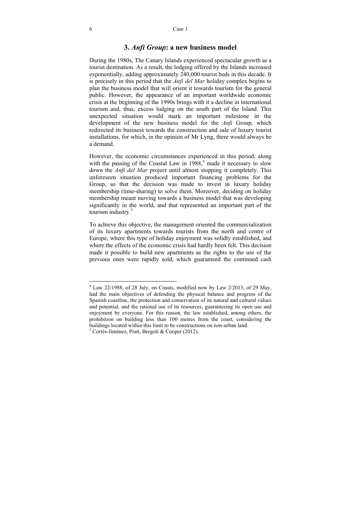#### **3.** *Anfi Group***: a new business model**

During the 1980s, The Canary Islands experienced spectacular growth as a tourist destination. As a result, the lodging offered by the Islands increased exponentially, adding approximately 240,000 tourist beds in this decade. It is precisely in this period that the *Anfi del Mar* holiday complex begins to plan the business model that will orient it towards tourism for the general public. However, the appearance of an important worldwide economic crisis at the beginning of the 1990s brings with it a decline in international tourism and, thus, excess lodging on the south part of the Island. This unexpected situation would mark an important milestone in the development of the new business model for the *Anfi* Group*,* which redirected its business towards the construction and sale of luxury tourist installations, for which, in the opinion of Mr Lyng, there would always be a demand.

However, the economic circumstances experienced in this period, along with the passing of the Coastal Law in  $1988<sup>4</sup>$  made it necessary to slow down the *Anfi del Mar* project until almost stopping it completely. This unforeseen situation produced important financing problems for the Group, so that the decision was made to invest in luxury holiday membership (time-sharing) to solve them. Moreover, deciding on holiday membership meant moving towards a business model that was developing significantly in the world, and that represented an important part of the tourism industry.<sup>5</sup>

To achieve this objective, the management oriented the commercialization of its luxury apartments towards tourists from the north and centre of Europe, where this type of holiday enjoyment was solidly established, and where the effects of the economic crisis had hardly been felt. This decision made it possible to build new apartments as the rights to the use of the previous ones were rapidly sold, which guaranteed the continued cash

1

<sup>&</sup>lt;sup>4</sup> Law 22/1988, of 28 July, on Coasts, modified now by Law 2/2013, of 29 May, had the main objectives of defending the physical balance and progress of the Spanish coastline, the protection and conservation of its natural and cultural values and potential, and the rational use of its resources, guaranteeing its open use and enjoyment by everyone. For this reason, the law established, among others, the prohibition on building less than 100 metres from the coast, considering the buildings located within this limit to be constructions on non-urban land. 5

 $5$  Cortés-Jiménez, Pratt, Bregoli & Cooper (2012).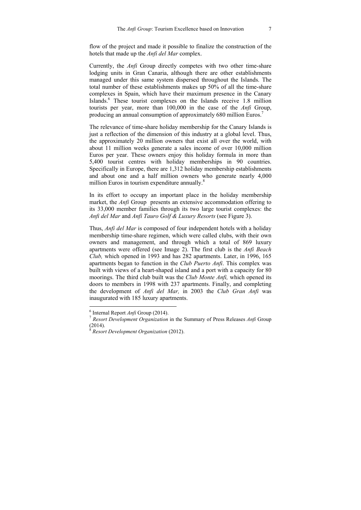flow of the project and made it possible to finalize the construction of the hotels that made up the *Anfi del Mar* complex.

Currently, the *Anfi* Group directly competes with two other time-share lodging units in Gran Canaria, although there are other establishments managed under this same system dispersed throughout the Islands. The total number of these establishments makes up 50% of all the time-share complexes in Spain, which have their maximum presence in the Canary Islands.<sup>6</sup> These tourist complexes on the Islands receive 1.8 million tourists per year, more than 100,000 in the case of the *Anfi* Group, producing an annual consumption of approximately 680 million Euros.<sup>7</sup>

The relevance of time-share holiday membership for the Canary Islands is just a reflection of the dimension of this industry at a global level. Thus, the approximately 20 million owners that exist all over the world, with about 11 million weeks generate a sales income of over 10,000 million Euros per year. These owners enjoy this holiday formula in more than 5,400 tourist centres with holiday memberships in 90 countries. Specifically in Europe, there are 1,312 holiday membership establishments and about one and a half million owners who generate nearly 4,000 million Euros in tourism expenditure annually.<sup>8</sup>

In its effort to occupy an important place in the holiday membership market, the *Anfi* Group presents an extensive accommodation offering to its 33,000 member families through its two large tourist complexes: the *Anfi del Mar* and *Anfi Tauro Golf & Luxury Resorts* (see Figure 3).

Thus, *Anfi del Mar* is composed of four independent hotels with a holiday membership time-share regimen, which were called clubs, with their own owners and management, and through which a total of 869 luxury apartments were offered (see Image 2). The first club is the *Anfi Beach Club,* which opened in 1993 and has 282 apartments. Later, in 1996, 165 apartments began to function in the *Club Puerto Anfi*. This complex was built with views of a heart-shaped island and a port with a capacity for 80 moorings. The third club built was the *Club Monte Anfi,* which opened its doors to members in 1998 with 237 apartments. Finally, and completing the development of *Anfi del Mar,* in 2003 the *Club Gran Anfi* was inaugurated with 185 luxury apartments.

 6

<sup>&</sup>lt;sup>7</sup> *Resort Development Organization* in the Summary of Press Releases *Anfi* Group (2014).

<sup>8</sup> *Resort Development Organization* (2012).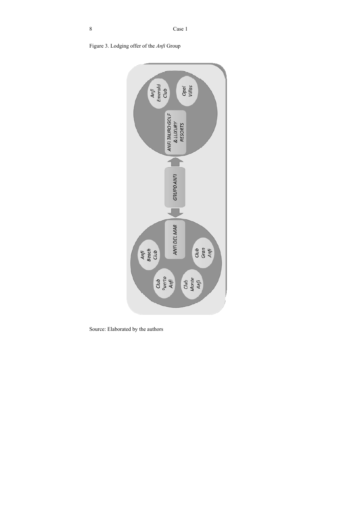



Source: Elaborated by the authors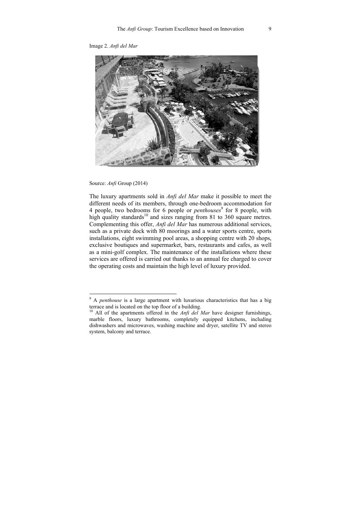Image 2. *Anfi del Mar* 



Source: *Anfi* Group (2014)

1

The luxury apartments sold in *Anfi del Mar* make it possible to meet the different needs of its members, through one-bedroom accommodation for 4 people, two bedrooms for 6 people or *penthouses*<sup>9</sup> for 8 people, with high quality standards<sup>10</sup> and sizes ranging from 81 to 360 square metres. Complementing this offer, *Anfi del Mar* has numerous additional services, such as a private dock with 80 moorings and a water sports centre, sports installations, eight swimming pool areas, a shopping centre with 20 shops, exclusive boutiques and supermarket, bars, restaurants and cafes, as well as a mini-golf complex. The maintenance of the installations where these services are offered is carried out thanks to an annual fee charged to cover the operating costs and maintain the high level of luxury provided.

<sup>9</sup> A *penthouse* is a large apartment with luxurious characteristics that has a big terrace and is located on the top floor of a building.

<sup>&</sup>lt;sup>10</sup> All of the apartments offered in the *Anfi del Mar* have designer furnishings, marble floors, luxury bathrooms, completely equipped kitchens, including dishwashers and microwaves, washing machine and dryer, satellite TV and stereo system, balcony and terrace.